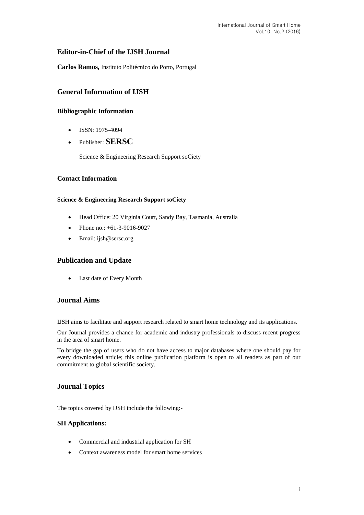# **Editor-in-Chief of the IJSH Journal**

**Carlos Ramos,** Instituto Politécnico do Porto, Portugal

# **General Information of IJSH**

## **Bibliographic Information**

- $\bullet$  ISSN: 1975-4094
- Publisher: **SERSC**

Science & Engineering Research Support soCiety

## **Contact Information**

### **Science & Engineering Research Support soCiety**

- Head Office: 20 Virginia Court, Sandy Bay, Tasmania, Australia
- Phone no.: +61-3-9016-9027
- Email: [ijsh@sersc.org](mailto:ijast@sersc.org)

# **Publication and Update**

Last date of Every Month

## **Journal Aims**

IJSH aims to facilitate and support research related to smart home technology and its applications.

Our Journal provides a chance for academic and industry professionals to discuss recent progress in the area of smart home.

To bridge the gap of users who do not have access to major databases where one should pay for every downloaded article; this online publication platform is open to all readers as part of our commitment to global scientific society.

# **Journal Topics**

The topics covered by IJSH include the following:-

#### **SH Applications:**

- Commercial and industrial application for SH
- Context awareness model for smart home services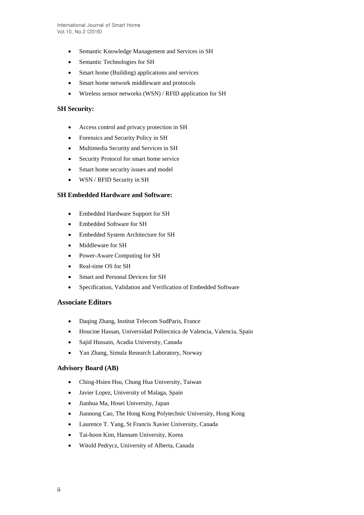- Semantic Knowledge Management and Services in SH
- Semantic Technologies for SH
- Smart home (Building) applications and services
- Smart home network middleware and protocols
- Wireless sensor networks (WSN) / RFID application for SH

### **SH Security:**

- Access control and privacy protection in SH
- Forensics and Security Policy in SH
- Multimedia Security and Services in SH
- Security Protocol for smart home service
- Smart home security issues and model
- WSN / RFID Security in SH

### **SH Embedded Hardware and Software:**

- Embedded Hardware Support for SH
- Embedded Software for SH
- Embedded System Architecture for SH
- Middleware for SH
- Power-Aware Computing for SH
- Real-time OS for SH
- Smart and Personal Devices for SH
- Specification, Validation and Verification of Embedded Software

### **Associate Editors**

- Daqing Zhang, Institut Telecom SudParis, France
- Houcine Hassan, Universidad Politecnica de Valencia, Valencia, Spain
- Sajid Hussain, Acadia University, Canada
- Yan Zhang, Simula Research Laboratory, Norway

## **Advisory Board (AB)**

- Ching-Hsien Hsu, Chung Hua University, Taiwan
- Javier Lopez, University of Malaga, Spain
- Jianhua Ma, Hosei University, Japan
- Jiannong Cao, The Hong Kong Polytechnic University, Hong Kong
- Laurence T. Yang, St Francis Xavier University, Canada
- Tai-hoon Kim, Hannam University, Korea
- Witold Pedrycz, University of Alberta, Canada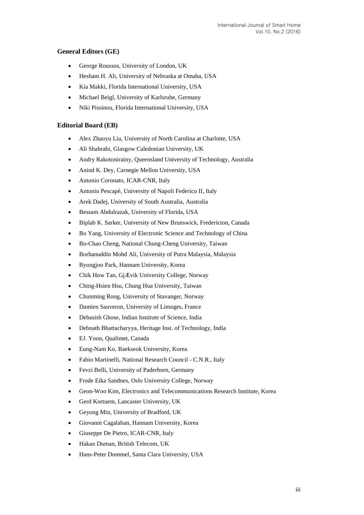## **General Editors (GE)**

- George Roussos, University of London, UK
- Hesham H. Ali, University of Nebraska at Omaha, USA
- Kia Makki, Florida International University, USA
- Michael Beigl, University of Karlsruhe, Germany
- Niki Pissinou, Florida International University, USA

### **Editorial Board (EB)**

- Alex Zhaoyu Liu, University of North Carolina at Charlotte, USA
- Ali Shahrabi, Glasgow Caledonian University, UK
- Andry Rakotonirainy, Queensland University of Technology, Australia
- Anind K. Dey, Carnegie Mellon University, USA
- Antonio Coronato, ICAR-CNR, Italy
- Antonio Pescapè, University of Napoli Federico II, Italy
- Arek Dadej, University of South Australia, Australia
- Bessam Abdulrazak, University of Florida, USA
- Biplab K. Sarker, University of New Brunswick, Fredericton, Canada
- Bo Yang, University of Electronic Science and Technology of China
- Bo-Chao Cheng, National Chung-Cheng University, Taiwan
- Borhanuddin Mohd Ali, University of Putra Malaysia, Malaysia
- Byungjoo Park, Hannam University, Korea
- Chik How Tan, GjÆ vik University College, Norway
- Ching-Hsien Hsu, Chung Hua University, Taiwan
- Chunming Rong, University of Stavanger, Norway
- Damien Sauveron, University of Limoges, France
- Debasish Ghose, Indian Institute of Science, India
- Debnath Bhattacharyya, Heritage Inst. of Technology, India
- EJ. Yoon, Qualimet, Canada
- Eung-Nam Ko, Baekseok University, Korea
- Fabio Martinelli, National Research Council C.N.R., Italy
- Fevzi Belli, University of Paderborn, Germany
- Frode Eika Sandnes, Oslo University College, Norway
- Geon-Woo Kim, Electronics and Telecommunications Research Institute, Korea
- Gerd Kortuem, Lancaster University, UK
- Geyong Min, University of Bradford, UK
- Giovanni Cagalaban, Hannam University, Korea
- Giuseppe De Pietro, ICAR-CNR, Italy
- Hakan Duman, British Telecom, UK
- Hans-Peter Dommel, Santa Clara University, USA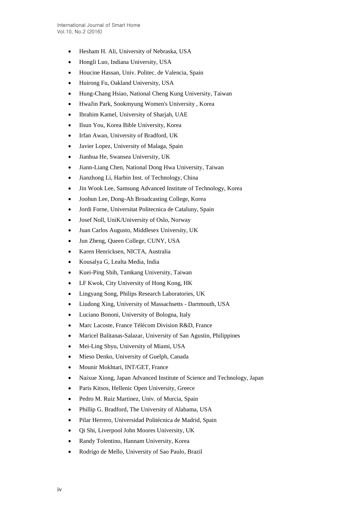- Hesham H. Ali, University of Nebraska, USA
- Hongli Luo, Indiana University, USA
- Houcine Hassan, Univ. Politec. de Valencia, Spain
- Huirong Fu, Oakland University, USA
- Hung-Chang Hsiao, National Cheng Kung University, Taiwan
- HwaJin Park, Sookmyung Women's University , Korea
- Ibrahim Kamel, University of Sharjah, UAE
- Ilsun You, Korea Bible University, Korea
- Irfan Awan, University of Bradford, UK
- Javier Lopez, University of Malaga, Spain
- Jianhua He, Swansea University, UK
- Jiann-Liang Chen, National Dong Hwa University, Taiwan
- Jianzhong Li, Harbin Inst. of Technology, China
- Jin Wook Lee, Samsung Advanced Institute of Technology, Korea
- Joohun Lee, Dong-Ah Broadcasting College, Korea
- Jordi Forne, Universitat Politecnica de Cataluny, Spain
- Josef Noll, UniK/University of Oslo, Norway
- Juan Carlos Augusto, Middlesex University, UK
- Jun Zheng, Queen College, CUNY, USA
- Karen Henricksen, NICTA, Australia
- Kousalya G, Lealta Media, India
- Kuei-Ping Shih, Tamkang University, Taiwan
- LF Kwok, City University of Hong Kong, HK
- Lingyang Song, Philips Research Laboratories, UK
- Liudong Xing, University of Massachsetts Dartmouth, USA
- Luciano Bononi, University of Bologna, Italy
- Marc Lacoste, France Télécom Division R&D, France
- Maricel Balitanas-Salazar, University of San Agustin, Philippines
- Mei-Ling Shyu, University of Miami, USA
- Mieso Denko, University of Guelph, Canada
- Mounir Mokhtari, INT/GET, France
- Naixue Xiong, Japan Advanced Institute of Science and Technology, Japan
- Paris Kitsos, Hellenic Open University, Greece
- Pedro M. Ruiz Martinez, Univ. of Murcia, Spain
- Phillip G. Bradford, The University of Alabama, USA
- Pilar Herrero, Universidad Politécnica de Madrid, Spain
- Qi Shi, Liverpool John Moores University, UK
- Randy Tolentino, Hannam University, Korea
- Rodrigo de Mello, University of Sao Paulo, Brazil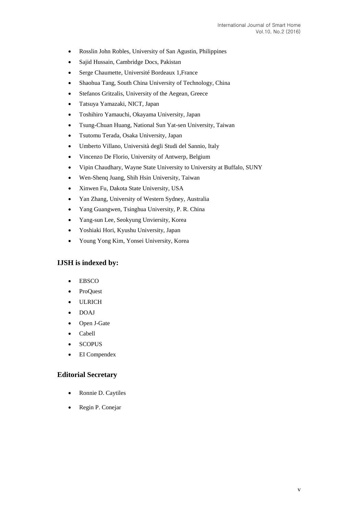- Rosslin John Robles, University of San Agustin, Philippines
- Sajid Hussain, Cambridge Docs, Pakistan
- Serge Chaumette, Université Bordeaux 1,France
- Shaohua Tang, South China University of Technology, China
- Stefanos Gritzalis, University of the Aegean, Greece
- Tatsuya Yamazaki, NICT, Japan
- Toshihiro Yamauchi, Okayama University, Japan
- Tsung-Chuan Huang, National Sun Yat-sen University, Taiwan
- Tsutomu Terada, Osaka University, Japan
- Umberto Villano, Università degli Studi del Sannio, Italy
- Vincenzo De Florio, University of Antwerp, Belgium
- Vipin Chaudhary, Wayne State University to University at Buffalo, SUNY
- Wen-Shenq Juang, Shih Hsin University, Taiwan
- Xinwen Fu, Dakota State University, USA
- Yan Zhang, University of Western Sydney, Australia
- Yang Guangwen, Tsinghua University, P. R. China
- Yang-sun Lee, Seokyung Unviersity, Korea
- Yoshiaki Hori, Kyushu University, Japan
- Young Yong Kim, Yonsei University, Korea

## **IJSH is indexed by:**

- EBSCO
- ProQuest
- ULRICH
- DOAJ
- Open J-Gate
- Cabell
- **SCOPUS**
- EI Compendex

#### **Editorial Secretary**

- Ronnie D. Caytiles
- Regin P. Conejar